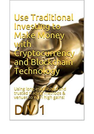## Use Traditional Investing to Make Money with Cryptocurrency and Blockchain Technology Using long-established venues to ce in high gains!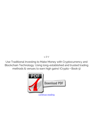*1, D V*

**Use Traditional Investing to Make Money with Cryptocurrency and Blockchain Technology: Using long-established and trusted trading methods & venues to earn high gains! (Crypto + Book 5)**

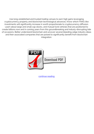Use long-established and trusted trading venues to earn high gains leveraging cryptocurrency property and blockchain technological advances. Know which FANG-like investments will significantly increase in worth proportionate to cryptocurrency diffusion. Learn about large and small cap stocks, and mutual fund vehicles that are positioned to create billions now and in coming years from this groundbreaking and industy-disrrupting tide of occasions. Better understand blockchain and uncover several bleeding-edge industry ideas and their associated companies that are poised to significantly benefit from blockchain integration.



[continue reading](http://bit.ly/2Tge8Fv)